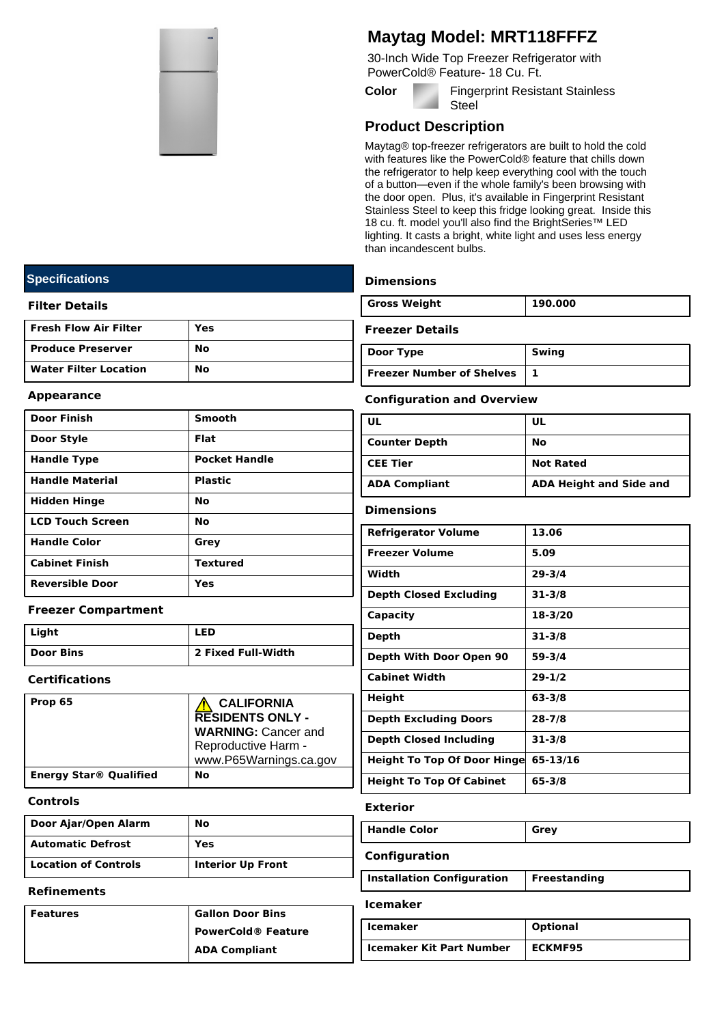

# **Maytag Model: MRT118FFFZ**

30-Inch Wide Top Freezer Refrigerator with PowerCold® Feature- 18 Cu. Ft.

**Color Fingerprint Resistant Stainless Steel** 

## **Product Description**

Maytag® top-freezer refrigerators are built to hold the cold with features like the PowerCold® feature that chills down the refrigerator to help keep everything cool with the touch of a button—even if the whole family's been browsing with the door open. Plus, it's available in Fingerprint Resistant Stainless Steel to keep this fridge looking great. Inside this 18 cu. ft. model you'll also find the BrightSeries™ LED lighting. It casts a bright, white light and uses less energy than incandescent bulbs.

## **Dimensions**

| <b>Gross Weight</b> | 190.000 |
|---------------------|---------|
|                     |         |

#### **Freezer Details**

| Door Type                 | Swing |
|---------------------------|-------|
| Freezer Number of Shelves |       |

#### **Appearance**

**Specifications**

**Filter Details**

**Fresh Flow Air Filter Yes Produce Preserver** No **Water Filter Location No**

| <b>Door Finish</b>     | <b>Smooth</b>        |
|------------------------|----------------------|
| Door Style             | <b>Flat</b>          |
| <b>Handle Type</b>     | <b>Pocket Handle</b> |
| <b>Handle Material</b> | <b>Plastic</b>       |
| <b>Hidden Hinge</b>    | <b>No</b>            |
| LCD Touch Screen       | No                   |
| <b>Handle Color</b>    | Grey                 |
| <b>Cabinet Finish</b>  | <b>Textured</b>      |
| <b>Reversible Door</b> | Yes                  |

## **Freezer Compartment**

| Light     | <b>LED</b>         |
|-----------|--------------------|
| Door Bins | 2 Fixed Full-Width |

## **Certifications**

| Prop 65                                  | <b>CALIFORNIA</b><br><b>RESIDENTS ONLY -</b><br><b>WARNING: Cancer and</b><br>Reproductive Harm -<br>www.P65Warnings.ca.gov |
|------------------------------------------|-----------------------------------------------------------------------------------------------------------------------------|
| <b>Energy Star<sup>®</sup> Qualified</b> | No                                                                                                                          |

## **Controls**

| Door Ajar/Open Alarm        | No                       |
|-----------------------------|--------------------------|
| <b>Automatic Defrost</b>    | Yes                      |
| <b>Location of Controls</b> | <b>Interior Up Front</b> |

#### **Refinements**

| Features | <b>Gallon Door Bins</b>   |
|----------|---------------------------|
|          | <b>PowerCold® Feature</b> |
|          | <b>ADA Compliant</b>      |

## **Configuration and Overview**

| ' UL                 | UL                             |
|----------------------|--------------------------------|
| Counter Depth        | No                             |
| <b>CEE Tier</b>      | <b>Not Rated</b>               |
| <b>ADA Compliant</b> | <b>ADA Height and Side and</b> |

#### **Dimensions**

| <b>Refrigerator Volume</b>         | 13.06      |
|------------------------------------|------------|
| <b>Freezer Volume</b>              | 5.09       |
| Width                              | $29 - 3/4$ |
| <b>Depth Closed Excluding</b>      | $31 - 3/8$ |
| Capacity                           | 18-3/20    |
| Depth                              | $31 - 3/8$ |
| Depth With Door Open 90            | $59 - 3/4$ |
| <b>Cabinet Width</b>               | $29 - 1/2$ |
| Height                             | 63-3/8     |
| <b>Depth Excluding Doors</b>       | $28 - 7/8$ |
| <b>Depth Closed Including</b>      | $31 - 3/8$ |
| <b>Height To Top Of Door Hinge</b> | 65-13/16   |
| <b>Height To Top Of Cabinet</b>    | 65-3/8     |
|                                    |            |

#### **Exterior**

| Handle Color               | Grey         |
|----------------------------|--------------|
| Configuration              |              |
| Installation Configuration | Freestanding |

#### **Icemaker**

| <b>Icemaker</b>                 | <b>Optional</b> |
|---------------------------------|-----------------|
| <b>Icemaker Kit Part Number</b> | <b>ECKMF95</b>  |